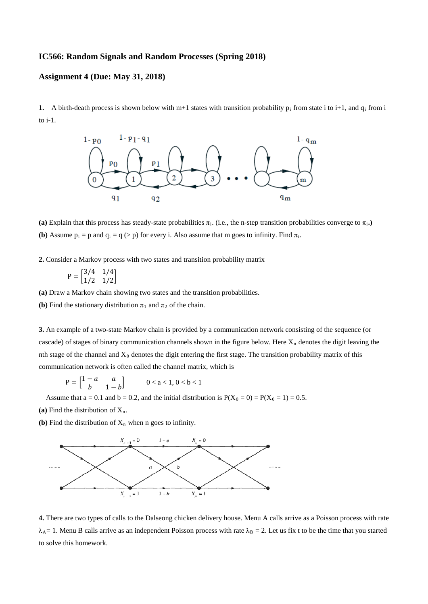## **IC566: Random Signals and Random Processes (Spring 2018)**

## **Assignment 4 (Due: May 31, 2018)**

**1.** A birth-death process is shown below with m+1 states with transition probability  $p_i$  from state i to i+1, and  $q_i$  from i to i-1.



(a) Explain that this process has steady-state probabilities  $\pi_i$ . (i.e., the n-step transition probabilities converge to  $\pi_i$ .) **(b)** Assume  $p_i = p$  and  $q_i = q \geq p$  for every i. Also assume that m goes to infinity. Find  $\pi_i$ .

**2.** Consider a Markov process with two states and transition probability matrix

$$
P = \begin{bmatrix} 3/4 & 1/4 \\ 1/2 & 1/2 \end{bmatrix}
$$

**(a)** Draw a Markov chain showing two states and the transition probabilities.

**(b)** Find the stationary distribution  $\pi_1$  and  $\pi_2$  of the chain.

**3.** An example of a two-state Markov chain is provided by a communication network consisting of the sequence (or cascade) of stages of binary communication channels shown in the figure below. Here  $X_n$  denotes the digit leaving the nth stage of the channel and  $X_0$  denotes the digit entering the first stage. The transition probability matrix of this communication network is often called the channel matrix, which is

 $P = \begin{bmatrix} 1-a & a \\ b & 1 \end{bmatrix}$  $\begin{bmatrix} -a & a \\ b & 1-b \end{bmatrix}$   $0 < a < 1, 0 < b < 1$ 

Assume that  $a = 0.1$  and  $b = 0.2$ , and the initial distribution is  $P(X_0 = 0) = P(X_0 = 1) = 0.5$ .

(a) Find the distribution of  $X_n$ .

**(b)** Find the distribution of  $X_n$  when n goes to infinity.



**4.** There are two types of calls to the Dalseong chicken delivery house. Menu A calls arrive as a Poisson process with rate  $\lambda_A = 1$ . Menu B calls arrive as an independent Poisson process with rate  $\lambda_B = 2$ . Let us fix t to be the time that you started to solve this homework.